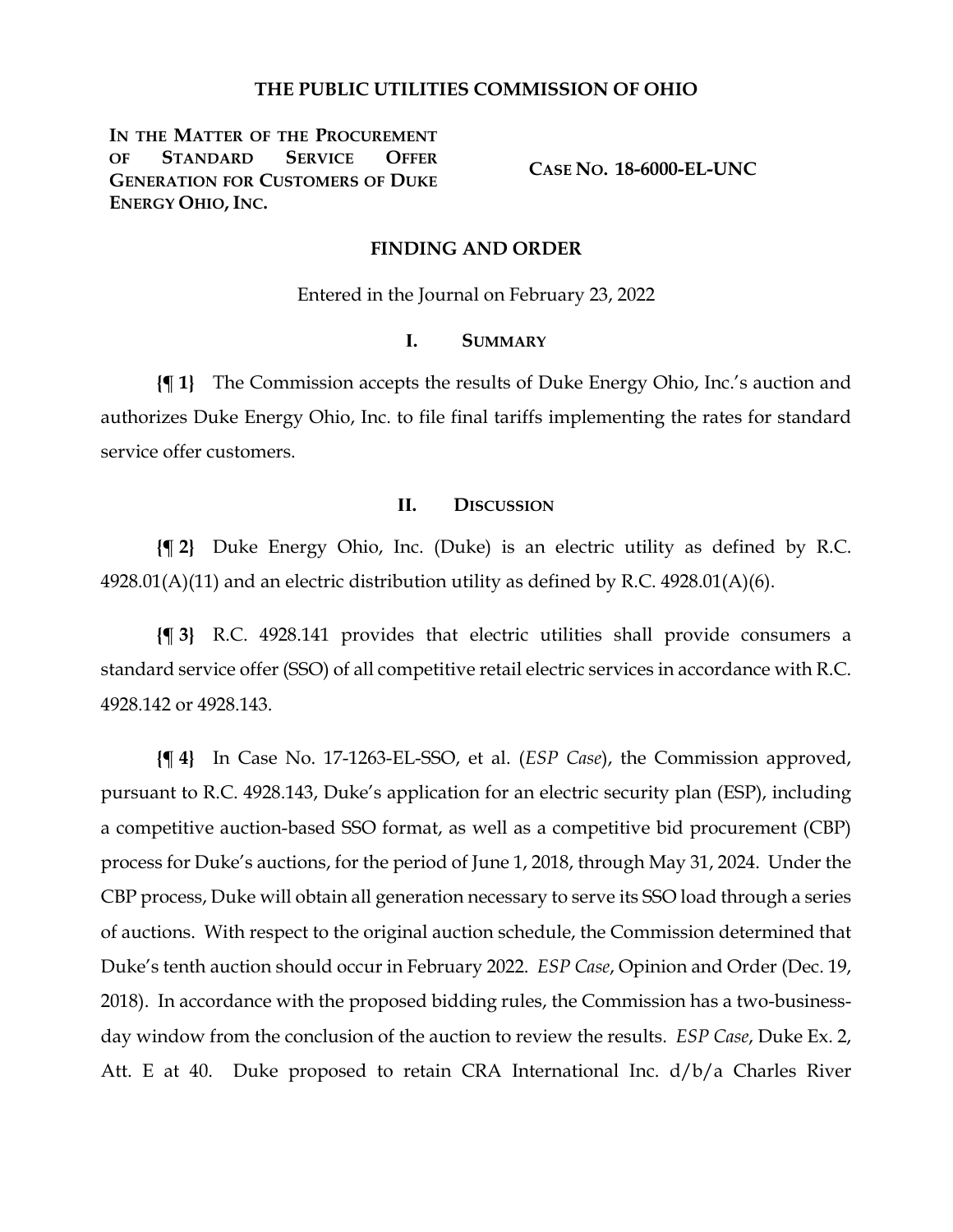#### **THE PUBLIC UTILITIES COMMISSION OF OHIO**

IN THE MATTER OF THE PROCUREMENT **OF STANDARD SERVICE OFFER GENERATION FOR CUSTOMERS OF DUKE ENERGY OHIO, INC.**

**CASE NO. 18-6000-EL-UNC**

#### **FINDING AND ORDER**

Entered in the Journal on February 23, 2022

#### **I. SUMMARY**

**{¶ 1}** The Commission accepts the results of Duke Energy Ohio, Inc.'s auction and authorizes Duke Energy Ohio, Inc. to file final tariffs implementing the rates for standard service offer customers.

### **II. DISCUSSION**

**{¶ 2}** Duke Energy Ohio, Inc. (Duke) is an electric utility as defined by R.C.  $4928.01(A)(11)$  and an electric distribution utility as defined by R.C.  $4928.01(A)(6)$ .

**{¶ 3}** R.C. 4928.141 provides that electric utilities shall provide consumers a standard service offer (SSO) of all competitive retail electric services in accordance with R.C. 4928.142 or 4928.143.

**{¶ 4}** In Case No. 17-1263-EL-SSO, et al. (*ESP Case*), the Commission approved, pursuant to R.C. 4928.143, Duke's application for an electric security plan (ESP), including a competitive auction-based SSO format, as well as a competitive bid procurement (CBP) process for Duke's auctions, for the period of June 1, 2018, through May 31, 2024. Under the CBP process, Duke will obtain all generation necessary to serve its SSO load through a series of auctions. With respect to the original auction schedule, the Commission determined that Duke's tenth auction should occur in February 2022. *ESP Case*, Opinion and Order (Dec. 19, 2018). In accordance with the proposed bidding rules, the Commission has a two-businessday window from the conclusion of the auction to review the results. *ESP Case*, Duke Ex. 2, Att. E at 40. Duke proposed to retain CRA International Inc.  $d/b/a$  Charles River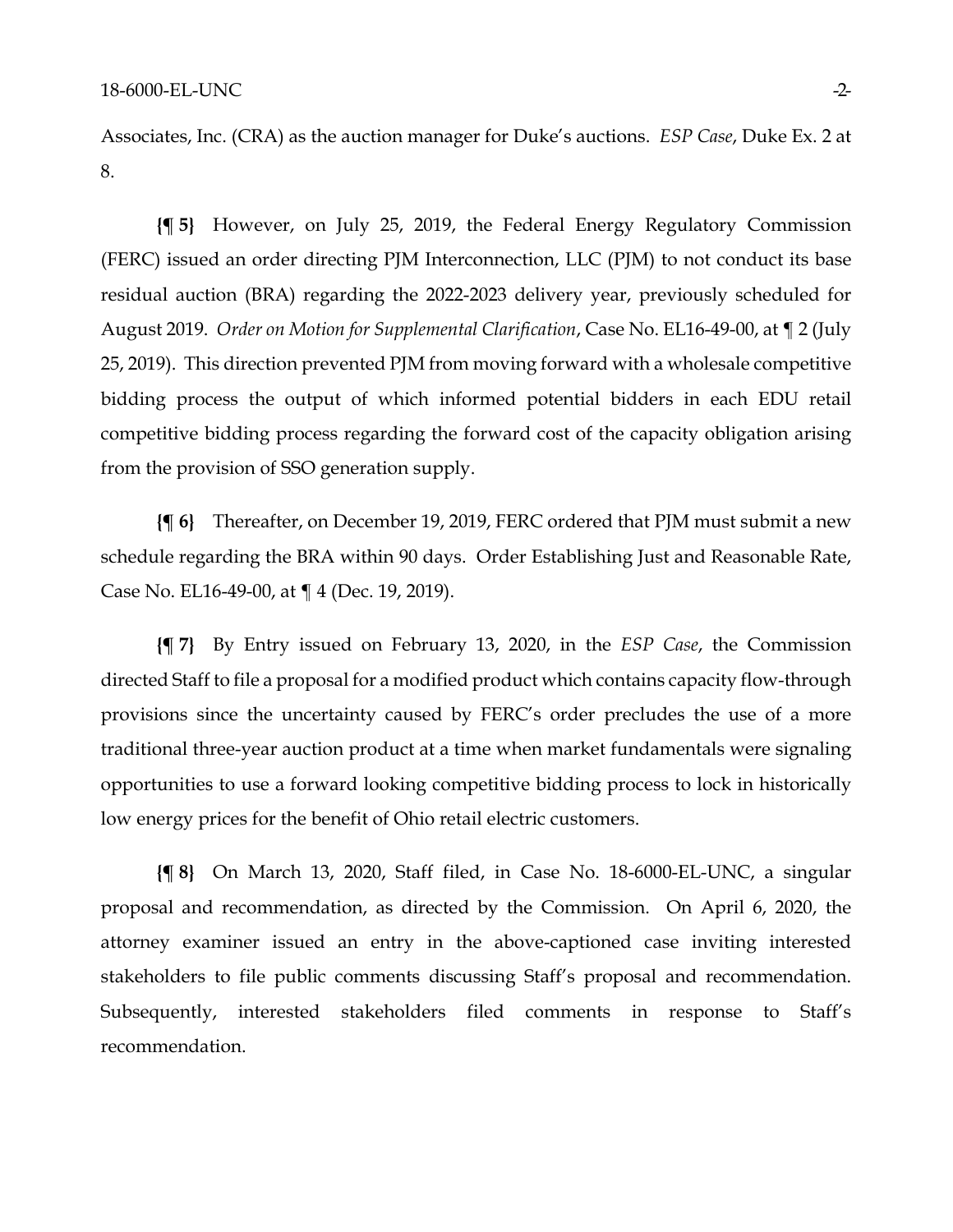Associates, Inc. (CRA) as the auction manager for Duke's auctions. *ESP Case*, Duke Ex. 2 at 8.

**{¶ 5}** However, on July 25, 2019, the Federal Energy Regulatory Commission (FERC) issued an order directing PJM Interconnection, LLC (PJM) to not conduct its base residual auction (BRA) regarding the 2022-2023 delivery year, previously scheduled for August 2019. *Order on Motion for Supplemental Clarification*, Case No. EL16-49-00, at ¶ 2 (July 25, 2019). This direction prevented PJM from moving forward with a wholesale competitive bidding process the output of which informed potential bidders in each EDU retail competitive bidding process regarding the forward cost of the capacity obligation arising from the provision of SSO generation supply.

**{¶ 6}** Thereafter, on December 19, 2019, FERC ordered that PJM must submit a new schedule regarding the BRA within 90 days. Order Establishing Just and Reasonable Rate, Case No. EL16-49-00, at ¶ 4 (Dec. 19, 2019).

**{¶ 7}** By Entry issued on February 13, 2020, in the *ESP Case*, the Commission directed Staff to file a proposal for a modified product which contains capacity flow-through provisions since the uncertainty caused by FERC's order precludes the use of a more traditional three-year auction product at a time when market fundamentals were signaling opportunities to use a forward looking competitive bidding process to lock in historically low energy prices for the benefit of Ohio retail electric customers.

**{¶ 8}** On March 13, 2020, Staff filed, in Case No. 18-6000-EL-UNC, a singular proposal and recommendation, as directed by the Commission. On April 6, 2020, the attorney examiner issued an entry in the above-captioned case inviting interested stakeholders to file public comments discussing Staff's proposal and recommendation. Subsequently, interested stakeholders filed comments in response to Staff's recommendation.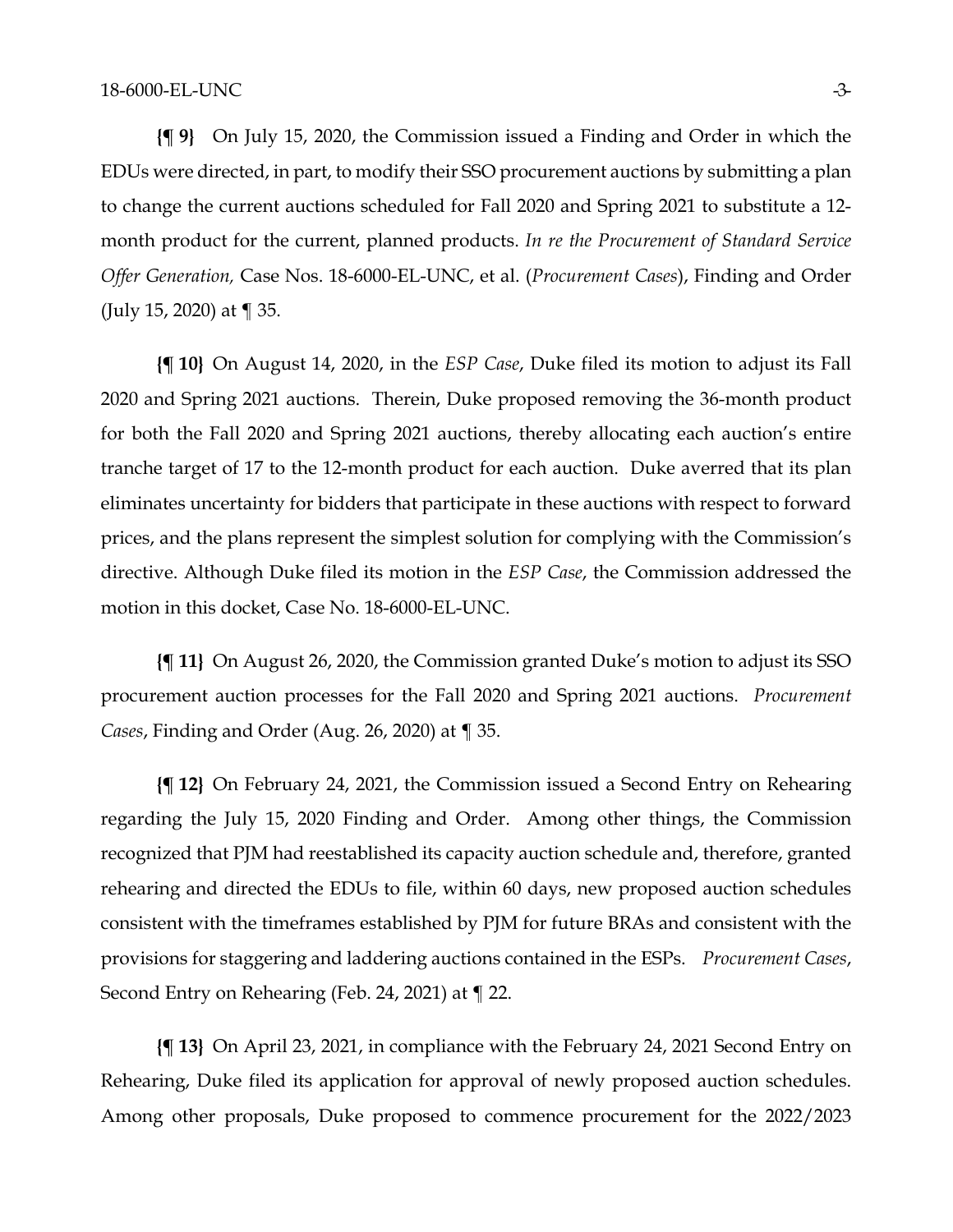**{¶ 9}** On July 15, 2020, the Commission issued a Finding and Order in which the EDUs were directed, in part, to modify their SSO procurement auctions by submitting a plan to change the current auctions scheduled for Fall 2020 and Spring 2021 to substitute a 12 month product for the current, planned products. *In re the Procurement of Standard Service Offer Generation,* Case Nos. 18-6000-EL-UNC, et al. (*Procurement Cases*), Finding and Order (July 15, 2020) at ¶ 35.

**{¶ 10}** On August 14, 2020, in the *ESP Case*, Duke filed its motion to adjust its Fall 2020 and Spring 2021 auctions. Therein, Duke proposed removing the 36-month product for both the Fall 2020 and Spring 2021 auctions, thereby allocating each auction's entire tranche target of 17 to the 12-month product for each auction. Duke averred that its plan eliminates uncertainty for bidders that participate in these auctions with respect to forward prices, and the plans represent the simplest solution for complying with the Commission's directive. Although Duke filed its motion in the *ESP Case*, the Commission addressed the motion in this docket, Case No. 18-6000-EL-UNC.

**{¶ 11}** On August 26, 2020, the Commission granted Duke's motion to adjust its SSO procurement auction processes for the Fall 2020 and Spring 2021 auctions. *Procurement Cases*, Finding and Order (Aug. 26, 2020) at ¶ 35.

**{¶ 12}** On February 24, 2021, the Commission issued a Second Entry on Rehearing regarding the July 15, 2020 Finding and Order. Among other things, the Commission recognized that PJM had reestablished its capacity auction schedule and, therefore, granted rehearing and directed the EDUs to file, within 60 days, new proposed auction schedules consistent with the timeframes established by PJM for future BRAs and consistent with the provisions for staggering and laddering auctions contained in the ESPs. *Procurement Cases*, Second Entry on Rehearing (Feb. 24, 2021) at ¶ 22.

**{¶ 13}** On April 23, 2021, in compliance with the February 24, 2021 Second Entry on Rehearing, Duke filed its application for approval of newly proposed auction schedules. Among other proposals, Duke proposed to commence procurement for the 2022/2023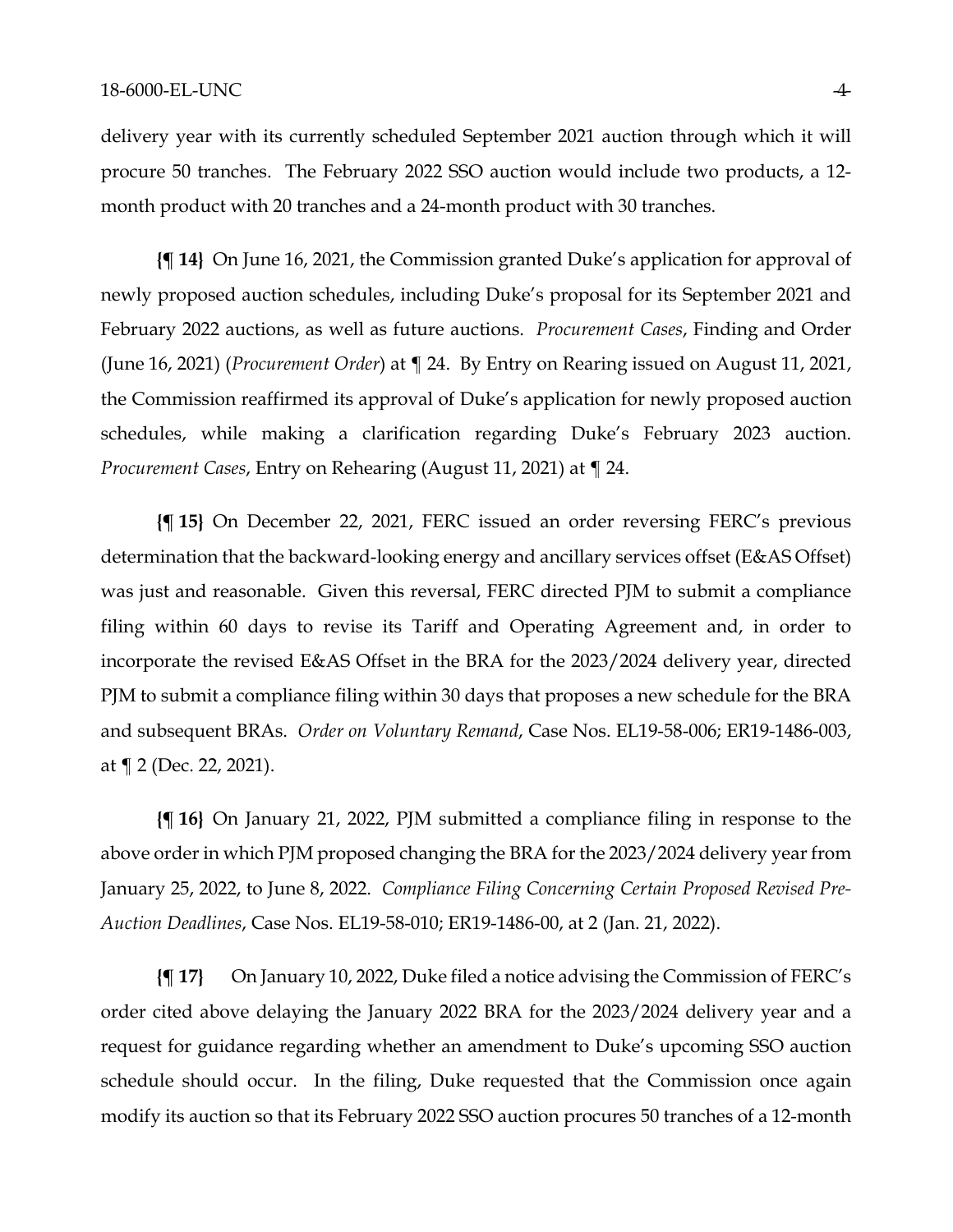delivery year with its currently scheduled September 2021 auction through which it will procure 50 tranches. The February 2022 SSO auction would include two products, a 12 month product with 20 tranches and a 24-month product with 30 tranches.

**{¶ 14}** On June 16, 2021, the Commission granted Duke's application for approval of newly proposed auction schedules, including Duke's proposal for its September 2021 and February 2022 auctions, as well as future auctions. *Procurement Cases*, Finding and Order (June 16, 2021) (*Procurement Order*) at ¶ 24. By Entry on Rearing issued on August 11, 2021, the Commission reaffirmed its approval of Duke's application for newly proposed auction schedules, while making a clarification regarding Duke's February 2023 auction. *Procurement Cases*, Entry on Rehearing (August 11, 2021) at ¶ 24.

**{¶ 15}** On December 22, 2021, FERC issued an order reversing FERC's previous determination that the backward-looking energy and ancillary services offset (E&AS Offset) was just and reasonable. Given this reversal, FERC directed PJM to submit a compliance filing within 60 days to revise its Tariff and Operating Agreement and, in order to incorporate the revised E&AS Offset in the BRA for the 2023/2024 delivery year, directed PJM to submit a compliance filing within 30 days that proposes a new schedule for the BRA and subsequent BRAs. *Order on Voluntary Remand*, Case Nos. EL19-58-006; ER19-1486-003, at ¶ 2 (Dec. 22, 2021).

**{¶ 16}** On January 21, 2022, PJM submitted a compliance filing in response to the above order in which PJM proposed changing the BRA for the 2023/2024 delivery year from January 25, 2022, to June 8, 2022. *Compliance Filing Concerning Certain Proposed Revised Pre-Auction Deadlines*, Case Nos. EL19-58-010; ER19-1486-00, at 2 (Jan. 21, 2022).

**{¶ 17}** On January 10, 2022, Duke filed a notice advising the Commission of FERC's order cited above delaying the January 2022 BRA for the 2023/2024 delivery year and a request for guidance regarding whether an amendment to Duke's upcoming SSO auction schedule should occur. In the filing, Duke requested that the Commission once again modify its auction so that its February 2022 SSO auction procures 50 tranches of a 12-month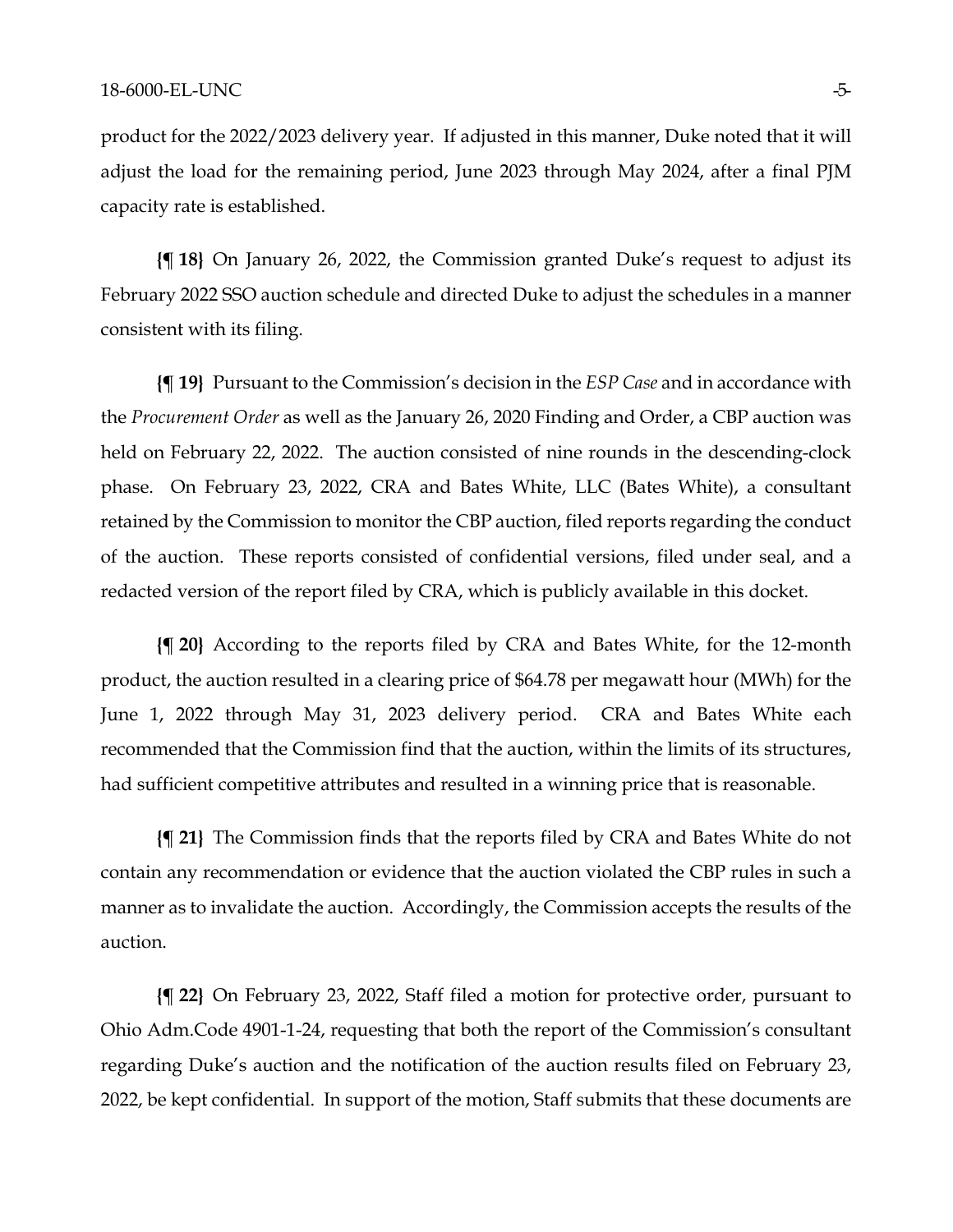product for the 2022/2023 delivery year. If adjusted in this manner, Duke noted that it will adjust the load for the remaining period, June 2023 through May 2024, after a final PJM capacity rate is established.

**{¶ 18}** On January 26, 2022, the Commission granted Duke's request to adjust its February 2022 SSO auction schedule and directed Duke to adjust the schedules in a manner consistent with its filing.

**{¶ 19}** Pursuant to the Commission's decision in the *ESP Case* and in accordance with the *Procurement Order* as well as the January 26, 2020 Finding and Order, a CBP auction was held on February 22, 2022. The auction consisted of nine rounds in the descending-clock phase. On February 23, 2022, CRA and Bates White, LLC (Bates White), a consultant retained by the Commission to monitor the CBP auction, filed reports regarding the conduct of the auction. These reports consisted of confidential versions, filed under seal, and a redacted version of the report filed by CRA, which is publicly available in this docket.

**{¶ 20}** According to the reports filed by CRA and Bates White, for the 12-month product, the auction resulted in a clearing price of \$64.78 per megawatt hour (MWh) for the June 1, 2022 through May 31, 2023 delivery period. CRA and Bates White each recommended that the Commission find that the auction, within the limits of its structures, had sufficient competitive attributes and resulted in a winning price that is reasonable.

**{¶ 21}** The Commission finds that the reports filed by CRA and Bates White do not contain any recommendation or evidence that the auction violated the CBP rules in such a manner as to invalidate the auction. Accordingly, the Commission accepts the results of the auction.

**{¶ 22}** On February 23, 2022, Staff filed a motion for protective order, pursuant to Ohio Adm.Code 4901-1-24, requesting that both the report of the Commission's consultant regarding Duke's auction and the notification of the auction results filed on February 23, 2022, be kept confidential. In support of the motion, Staff submits that these documents are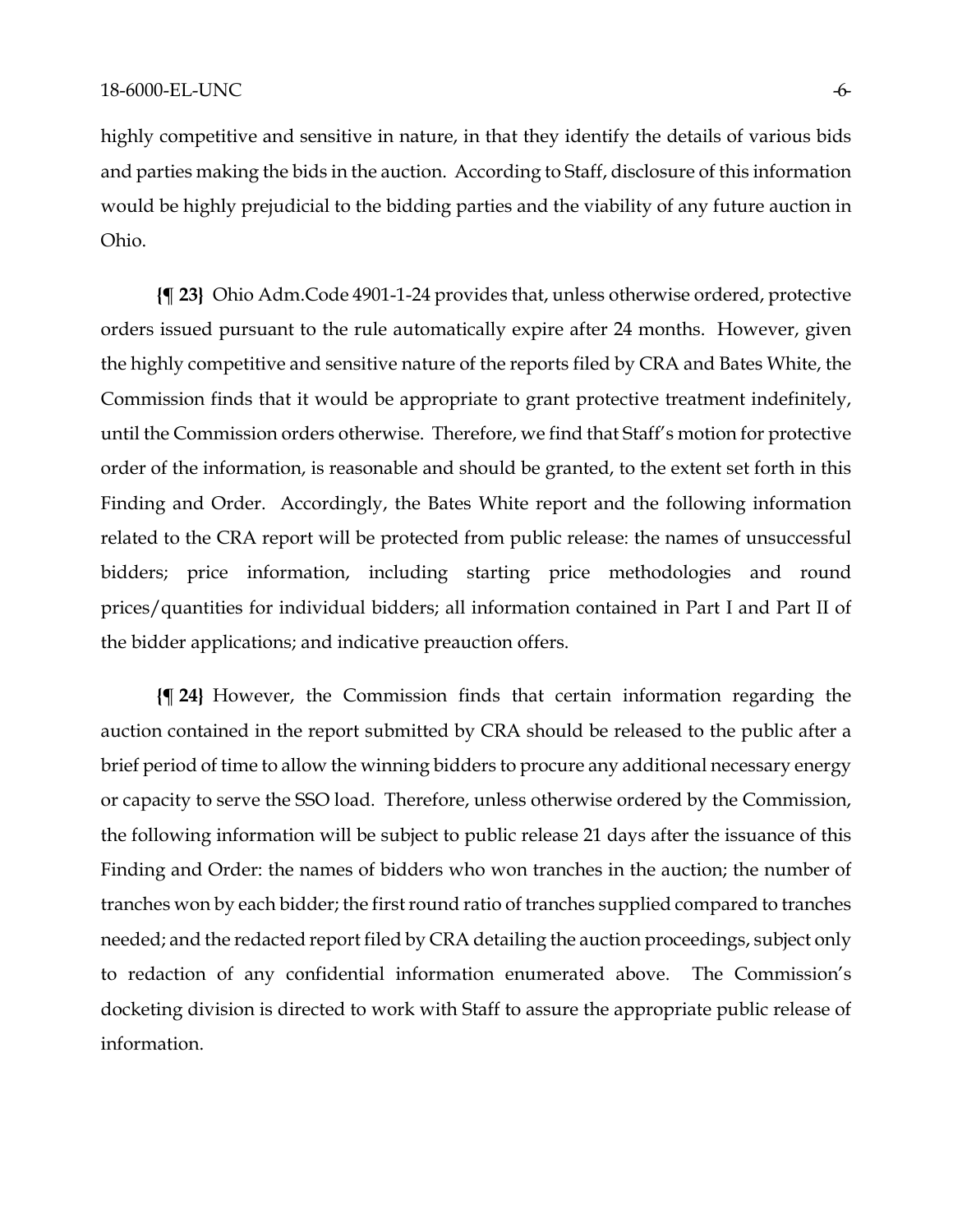highly competitive and sensitive in nature, in that they identify the details of various bids and parties making the bids in the auction. According to Staff, disclosure of this information would be highly prejudicial to the bidding parties and the viability of any future auction in Ohio.

**{¶ 23}** Ohio Adm.Code 4901-1-24 provides that, unless otherwise ordered, protective orders issued pursuant to the rule automatically expire after 24 months. However, given the highly competitive and sensitive nature of the reports filed by CRA and Bates White, the Commission finds that it would be appropriate to grant protective treatment indefinitely, until the Commission orders otherwise. Therefore, we find that Staff's motion for protective order of the information, is reasonable and should be granted, to the extent set forth in this Finding and Order. Accordingly, the Bates White report and the following information related to the CRA report will be protected from public release: the names of unsuccessful bidders; price information, including starting price methodologies and round prices/quantities for individual bidders; all information contained in Part I and Part II of the bidder applications; and indicative preauction offers.

**{¶ 24}** However, the Commission finds that certain information regarding the auction contained in the report submitted by CRA should be released to the public after a brief period of time to allow the winning bidders to procure any additional necessary energy or capacity to serve the SSO load. Therefore, unless otherwise ordered by the Commission, the following information will be subject to public release 21 days after the issuance of this Finding and Order: the names of bidders who won tranches in the auction; the number of tranches won by each bidder; the first round ratio of tranches supplied compared to tranches needed; and the redacted report filed by CRA detailing the auction proceedings, subject only to redaction of any confidential information enumerated above. The Commission's docketing division is directed to work with Staff to assure the appropriate public release of information.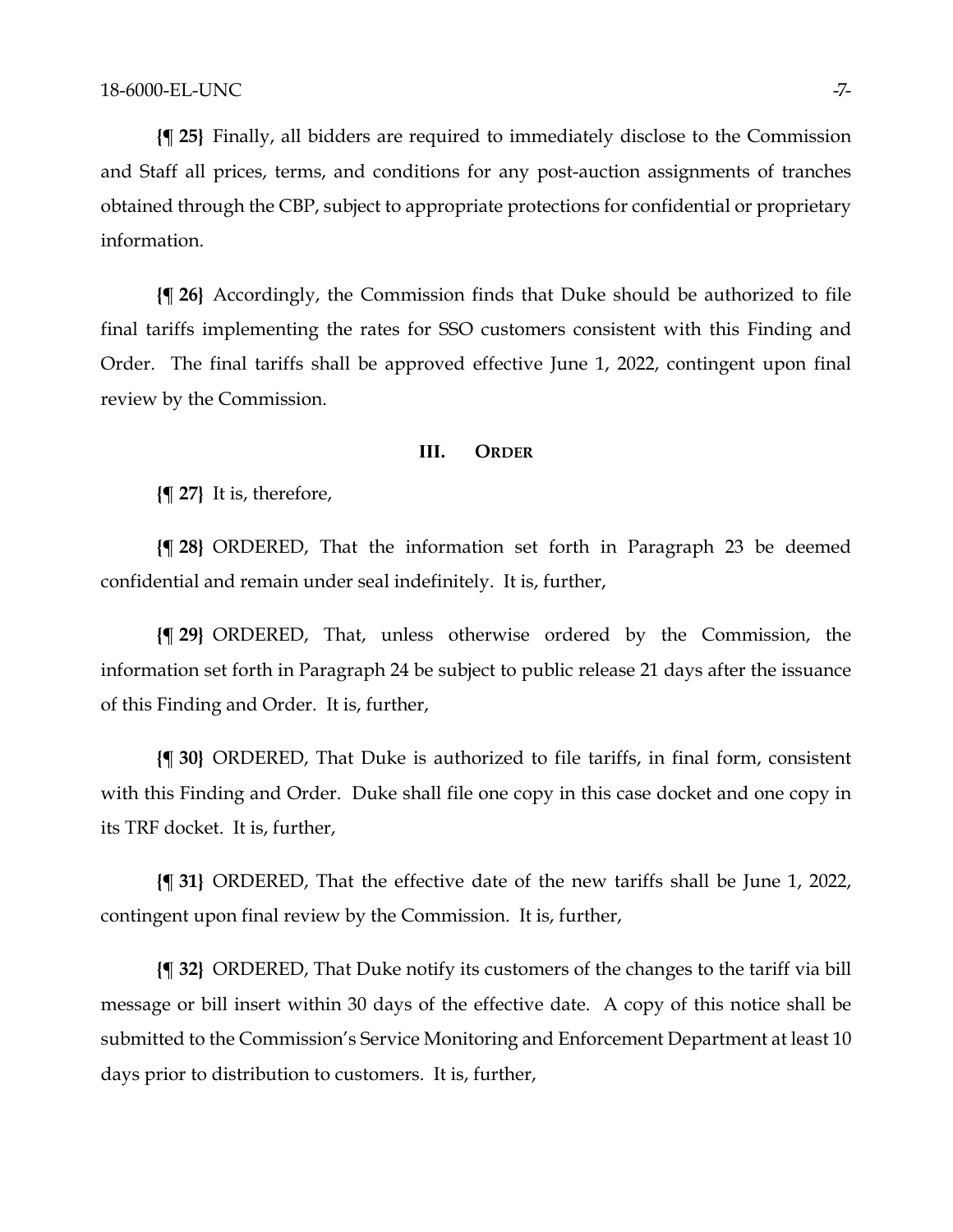**{¶ 25}** Finally, all bidders are required to immediately disclose to the Commission and Staff all prices, terms, and conditions for any post-auction assignments of tranches obtained through the CBP, subject to appropriate protections for confidential or proprietary information.

**{¶ 26}** Accordingly, the Commission finds that Duke should be authorized to file final tariffs implementing the rates for SSO customers consistent with this Finding and Order. The final tariffs shall be approved effective June 1, 2022, contingent upon final review by the Commission.

#### **III. ORDER**

**{¶ 27}** It is, therefore,

**{¶ 28}** ORDERED, That the information set forth in Paragraph 23 be deemed confidential and remain under seal indefinitely. It is, further,

**{¶ 29}** ORDERED, That, unless otherwise ordered by the Commission, the information set forth in Paragraph 24 be subject to public release 21 days after the issuance of this Finding and Order. It is, further,

**{¶ 30}** ORDERED, That Duke is authorized to file tariffs, in final form, consistent with this Finding and Order. Duke shall file one copy in this case docket and one copy in its TRF docket. It is, further,

**{¶ 31}** ORDERED, That the effective date of the new tariffs shall be June 1, 2022, contingent upon final review by the Commission. It is, further,

**{¶ 32}** ORDERED, That Duke notify its customers of the changes to the tariff via bill message or bill insert within 30 days of the effective date. A copy of this notice shall be submitted to the Commission's Service Monitoring and Enforcement Department at least 10 days prior to distribution to customers. It is, further,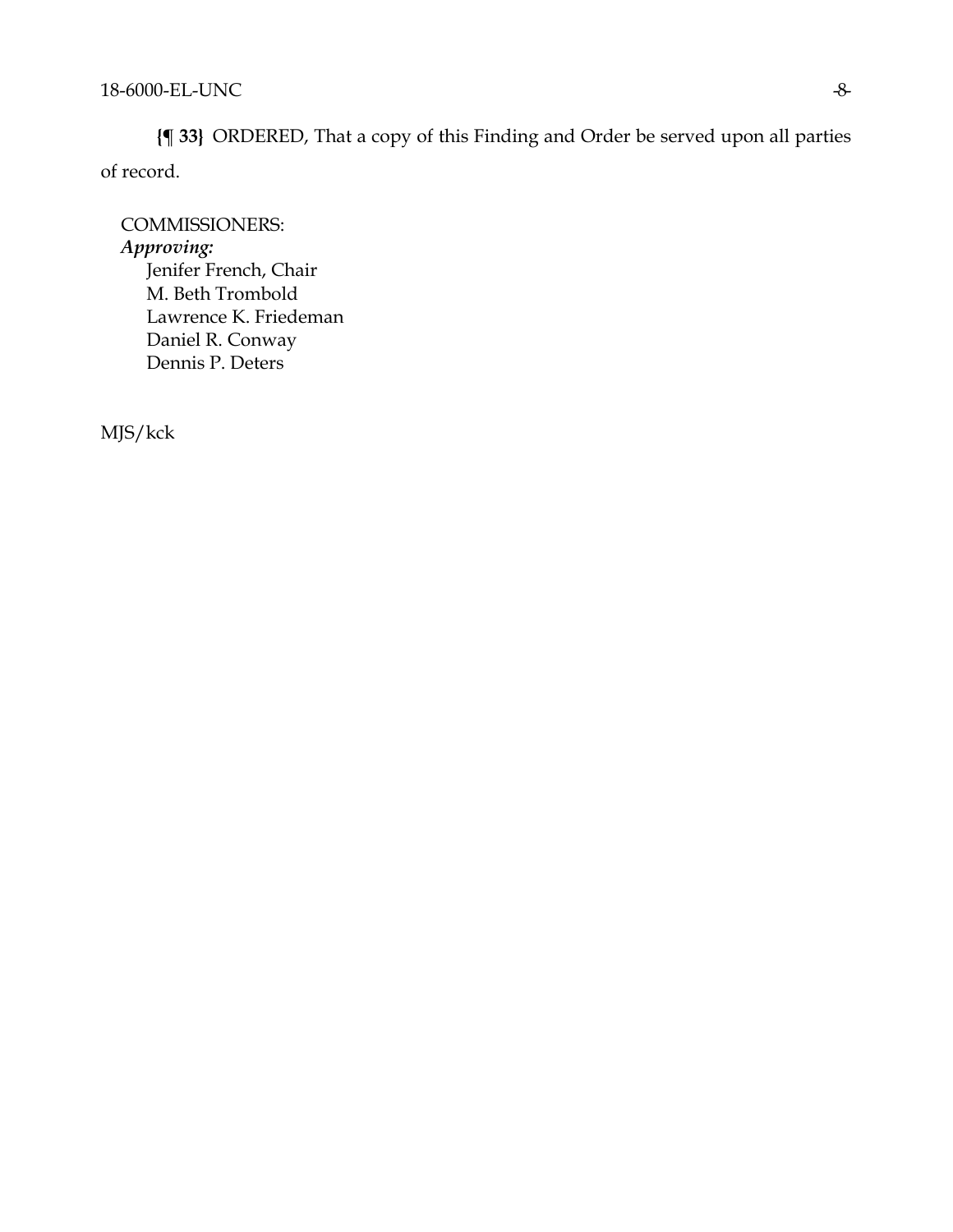**{¶ 33}** ORDERED, That a copy of this Finding and Order be served upon all parties of record.

COMMISSIONERS: *Approving:*  Jenifer French, Chair M. Beth Trombold Lawrence K. Friedeman Daniel R. Conway Dennis P. Deters

MJS/kck